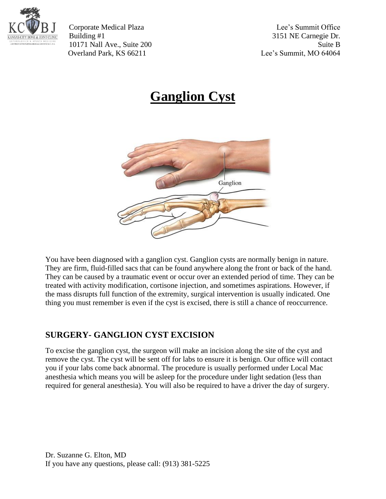

Corporate Medical Plaza Lee's Summit Office Building #1 3151 NE Carnegie Dr. 10171 Nall Ave., Suite 200 Suite B Overland Park, KS 66211 Lee's Summit, MO 64064

## **Ganglion Cyst**



You have been diagnosed with a ganglion cyst. Ganglion cysts are normally benign in nature. They are firm, fluid-filled sacs that can be found anywhere along the front or back of the hand. They can be caused by a traumatic event or occur over an extended period of time. They can be treated with activity modification, cortisone injection, and sometimes aspirations. However, if the mass disrupts full function of the extremity, surgical intervention is usually indicated. One thing you must remember is even if the cyst is excised, there is still a chance of reoccurrence.

## **SURGERY- GANGLION CYST EXCISION**

To excise the ganglion cyst, the surgeon will make an incision along the site of the cyst and remove the cyst. The cyst will be sent off for labs to ensure it is benign. Our office will contact you if your labs come back abnormal. The procedure is usually performed under Local Mac anesthesia which means you will be asleep for the procedure under light sedation (less than required for general anesthesia). You will also be required to have a driver the day of surgery.